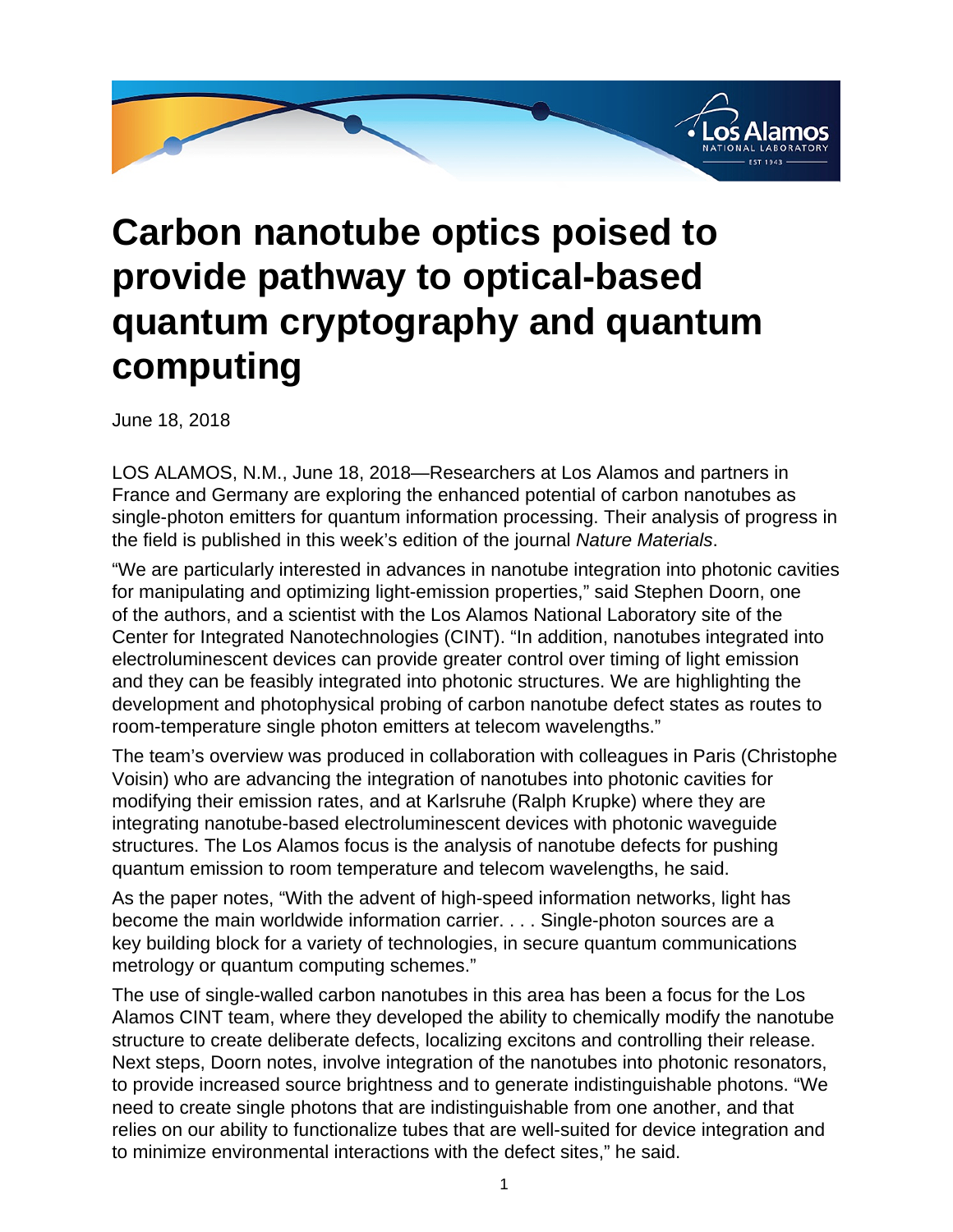

## **Carbon nanotube optics poised to provide pathway to optical-based quantum cryptography and quantum computing**

June 18, 2018

LOS ALAMOS, N.M., June 18, 2018—Researchers at Los Alamos and partners in France and Germany are exploring the enhanced potential of carbon nanotubes as single-photon emitters for quantum information processing. Their analysis of progress in the field is published in this week's edition of the journal Nature Materials.

"We are particularly interested in advances in nanotube integration into photonic cavities for manipulating and optimizing light-emission properties," said Stephen Doorn, one of the authors, and a scientist with the Los Alamos National Laboratory site of the Center for Integrated Nanotechnologies (CINT). "In addition, nanotubes integrated into electroluminescent devices can provide greater control over timing of light emission and they can be feasibly integrated into photonic structures. We are highlighting the development and photophysical probing of carbon nanotube defect states as routes to room-temperature single photon emitters at telecom wavelengths."

The team's overview was produced in collaboration with colleagues in Paris (Christophe Voisin) who are advancing the integration of nanotubes into photonic cavities for modifying their emission rates, and at Karlsruhe (Ralph Krupke) where they are integrating nanotube-based electroluminescent devices with photonic waveguide structures. The Los Alamos focus is the analysis of nanotube defects for pushing quantum emission to room temperature and telecom wavelengths, he said.

As the paper notes, "With the advent of high-speed information networks, light has become the main worldwide information carrier. . . . Single-photon sources are a key building block for a variety of technologies, in secure quantum communications metrology or quantum computing schemes."

The use of single-walled carbon nanotubes in this area has been a focus for the Los Alamos CINT team, where they developed the ability to chemically modify the nanotube structure to create deliberate defects, localizing excitons and controlling their release. Next steps, Doorn notes, involve integration of the nanotubes into photonic resonators, to provide increased source brightness and to generate indistinguishable photons. "We need to create single photons that are indistinguishable from one another, and that relies on our ability to functionalize tubes that are well-suited for device integration and to minimize environmental interactions with the defect sites," he said.